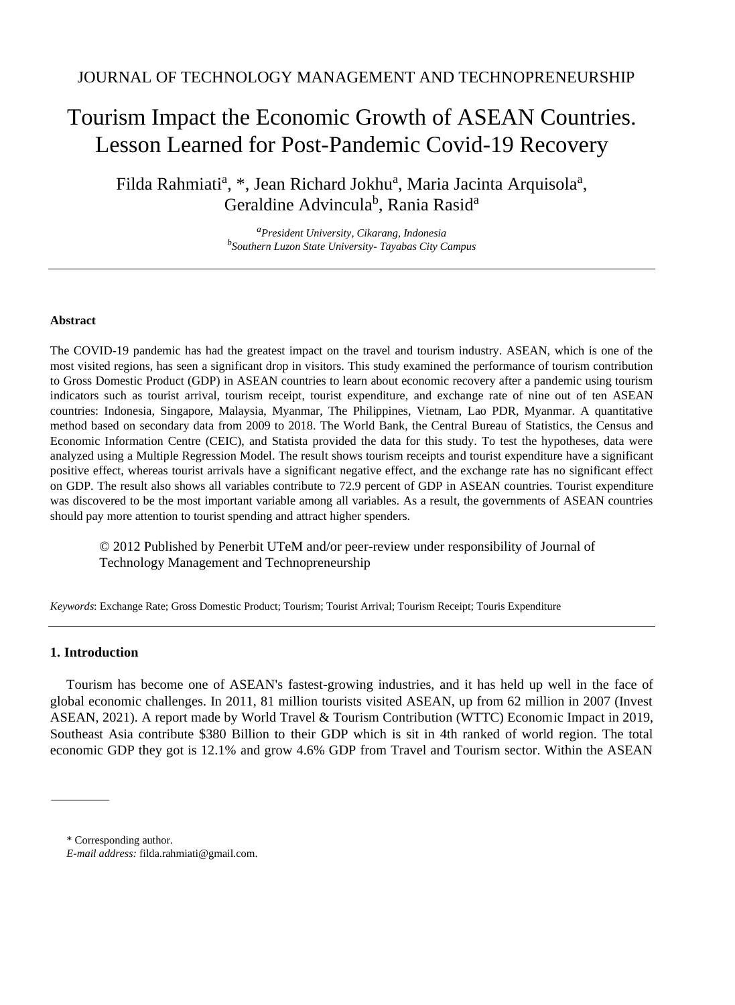# Tourism Impact the Economic Growth of ASEAN Countries. Lesson Learned for Post-Pandemic Covid-19 Recovery

Filda Rahmiati<sup>a</sup>, \*, Jean Richard Jokhu<sup>a</sup>, Maria Jacinta Arquisola<sup>a</sup>, Geraldine Advincula<sup>b</sup>, Rania Rasid<sup>a</sup>

> *<sup>a</sup>President University, Cikarang, Indonesia b Southern Luzon State University- Tayabas City Campus*

## **Abstract**

The COVID-19 pandemic has had the greatest impact on the travel and tourism industry. ASEAN, which is one of the most visited regions, has seen a significant drop in visitors. This study examined the performance of tourism contribution to Gross Domestic Product (GDP) in ASEAN countries to learn about economic recovery after a pandemic using tourism indicators such as tourist arrival, tourism receipt, tourist expenditure, and exchange rate of nine out of ten ASEAN countries: Indonesia, Singapore, Malaysia, Myanmar, The Philippines, Vietnam, Lao PDR, Myanmar. A quantitative method based on secondary data from 2009 to 2018. The World Bank, the Central Bureau of Statistics, the Census and Economic Information Centre (CEIC), and Statista provided the data for this study. To test the hypotheses, data were analyzed using a Multiple Regression Model. The result shows tourism receipts and tourist expenditure have a significant positive effect, whereas tourist arrivals have a significant negative effect, and the exchange rate has no significant effect on GDP. The result also shows all variables contribute to 72.9 percent of GDP in ASEAN countries. Tourist expenditure was discovered to be the most important variable among all variables. As a result, the governments of ASEAN countries should pay more attention to tourist spending and attract higher spenders.

© 2012 Published by Penerbit UTeM and/or peer-review under responsibility of Journal of Technology Management and Technopreneurship

*Keywords*: Exchange Rate; Gross Domestic Product; Tourism; Tourist Arrival; Tourism Receipt; Touris Expenditure

# **1. Introduction**

Tourism has become one of ASEAN's fastest-growing industries, and it has held up well in the face of global economic challenges. In 2011, 81 million tourists visited ASEAN, up from 62 million in 2007 (Invest ASEAN, 2021). A report made by World Travel & Tourism Contribution (WTTC) Economic Impact in 2019, Southeast Asia contribute \$380 Billion to their GDP which is sit in 4th ranked of world region. The total economic GDP they got is 12.1% and grow 4.6% GDP from Travel and Tourism sector. Within the ASEAN

<sup>\*</sup> Corresponding author.

*E-mail address:* filda.rahmiati@gmail.com.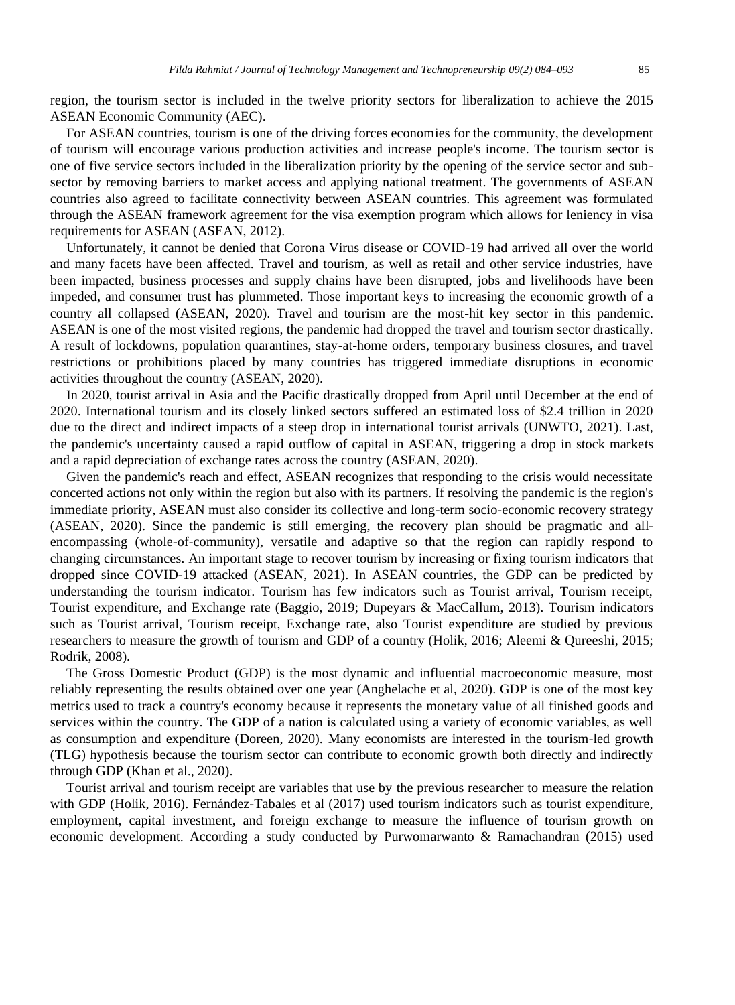region, the tourism sector is included in the twelve priority sectors for liberalization to achieve the 2015 ASEAN Economic Community (AEC).

For ASEAN countries, tourism is one of the driving forces economies for the community, the development of tourism will encourage various production activities and increase people's income. The tourism sector is one of five service sectors included in the liberalization priority by the opening of the service sector and subsector by removing barriers to market access and applying national treatment. The governments of ASEAN countries also agreed to facilitate connectivity between ASEAN countries. This agreement was formulated through the ASEAN framework agreement for the visa exemption program which allows for leniency in visa requirements for ASEAN (ASEAN, 2012).

Unfortunately, it cannot be denied that Corona Virus disease or COVID-19 had arrived all over the world and many facets have been affected. Travel and tourism, as well as retail and other service industries, have been impacted, business processes and supply chains have been disrupted, jobs and livelihoods have been impeded, and consumer trust has plummeted. Those important keys to increasing the economic growth of a country all collapsed (ASEAN, 2020). Travel and tourism are the most-hit key sector in this pandemic. ASEAN is one of the most visited regions, the pandemic had dropped the travel and tourism sector drastically. A result of lockdowns, population quarantines, stay-at-home orders, temporary business closures, and travel restrictions or prohibitions placed by many countries has triggered immediate disruptions in economic activities throughout the country (ASEAN, 2020).

In 2020, tourist arrival in Asia and the Pacific drastically dropped from April until December at the end of 2020. International tourism and its closely linked sectors suffered an estimated loss of \$2.4 trillion in 2020 due to the direct and indirect impacts of a steep drop in international tourist arrivals (UNWTO, 2021). Last, the pandemic's uncertainty caused a rapid outflow of capital in ASEAN, triggering a drop in stock markets and a rapid depreciation of exchange rates across the country (ASEAN, 2020).

Given the pandemic's reach and effect, ASEAN recognizes that responding to the crisis would necessitate concerted actions not only within the region but also with its partners. If resolving the pandemic is the region's immediate priority, ASEAN must also consider its collective and long-term socio-economic recovery strategy (ASEAN, 2020). Since the pandemic is still emerging, the recovery plan should be pragmatic and allencompassing (whole-of-community), versatile and adaptive so that the region can rapidly respond to changing circumstances. An important stage to recover tourism by increasing or fixing tourism indicators that dropped since COVID-19 attacked (ASEAN, 2021). In ASEAN countries, the GDP can be predicted by understanding the tourism indicator. Tourism has few indicators such as Tourist arrival, Tourism receipt, Tourist expenditure, and Exchange rate (Baggio, 2019; Dupeyars & MacCallum, 2013). Tourism indicators such as Tourist arrival, Tourism receipt, Exchange rate, also Tourist expenditure are studied by previous researchers to measure the growth of tourism and GDP of a country (Holik, 2016; Aleemi & Qureeshi, 2015; Rodrik, 2008).

The Gross Domestic Product (GDP) is the most dynamic and influential macroeconomic measure, most reliably representing the results obtained over one year (Anghelache et al, 2020). GDP is one of the most key metrics used to track a country's economy because it represents the monetary value of all finished goods and services within the country. The GDP of a nation is calculated using a variety of economic variables, as well as consumption and expenditure (Doreen, 2020). Many economists are interested in the tourism-led growth (TLG) hypothesis because the tourism sector can contribute to economic growth both directly and indirectly through GDP (Khan et al., 2020).

Tourist arrival and tourism receipt are variables that use by the previous researcher to measure the relation with GDP (Holik, 2016). Fernández-Tabales et al (2017) used tourism indicators such as tourist expenditure, employment, capital investment, and foreign exchange to measure the influence of tourism growth on economic development. According a study conducted by Purwomarwanto & Ramachandran (2015) used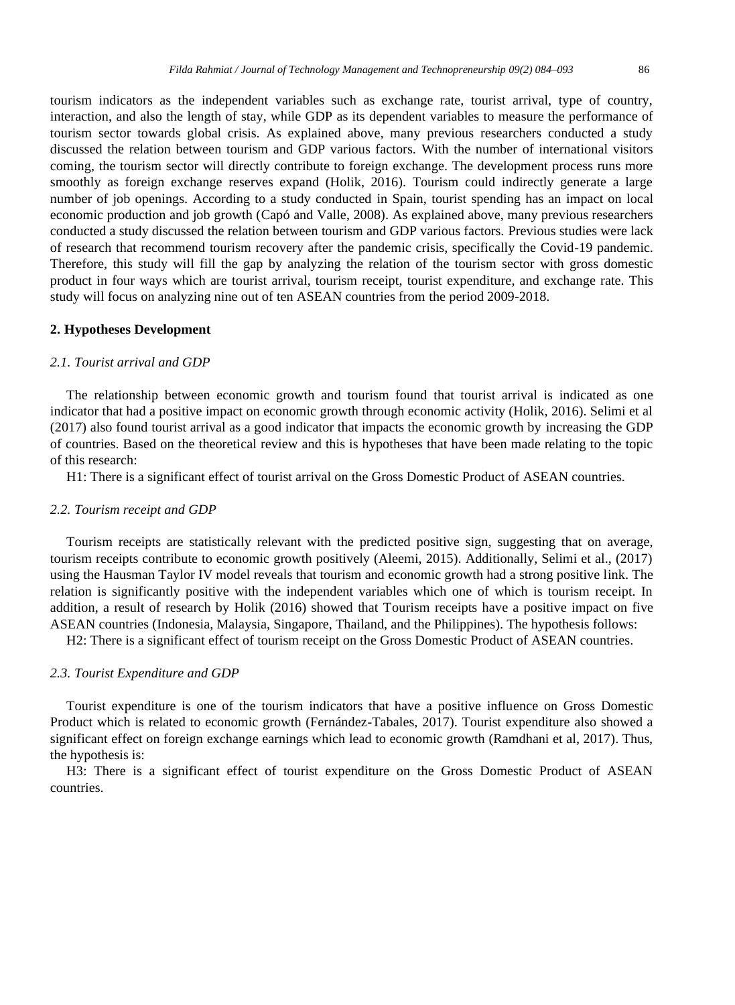tourism indicators as the independent variables such as exchange rate, tourist arrival, type of country, interaction, and also the length of stay, while GDP as its dependent variables to measure the performance of tourism sector towards global crisis. As explained above, many previous researchers conducted a study discussed the relation between tourism and GDP various factors. With the number of international visitors coming, the tourism sector will directly contribute to foreign exchange. The development process runs more smoothly as foreign exchange reserves expand (Holik, 2016). Tourism could indirectly generate a large number of job openings. According to a study conducted in Spain, tourist spending has an impact on local economic production and job growth (Capó and Valle, 2008). As explained above, many previous researchers conducted a study discussed the relation between tourism and GDP various factors. Previous studies were lack of research that recommend tourism recovery after the pandemic crisis, specifically the Covid-19 pandemic. Therefore, this study will fill the gap by analyzing the relation of the tourism sector with gross domestic product in four ways which are tourist arrival, tourism receipt, tourist expenditure, and exchange rate. This study will focus on analyzing nine out of ten ASEAN countries from the period 2009-2018.

#### **2. Hypotheses Development**

## *2.1. Tourist arrival and GDP*

The relationship between economic growth and tourism found that tourist arrival is indicated as one indicator that had a positive impact on economic growth through economic activity (Holik, 2016). Selimi et al (2017) also found tourist arrival as a good indicator that impacts the economic growth by increasing the GDP of countries. Based on the theoretical review and this is hypotheses that have been made relating to the topic of this research:

H1: There is a significant effect of tourist arrival on the Gross Domestic Product of ASEAN countries.

#### *2.2. Tourism receipt and GDP*

Tourism receipts are statistically relevant with the predicted positive sign, suggesting that on average, tourism receipts contribute to economic growth positively (Aleemi, 2015). Additionally, Selimi et al., (2017) using the Hausman Taylor IV model reveals that tourism and economic growth had a strong positive link. The relation is significantly positive with the independent variables which one of which is tourism receipt. In addition, a result of research by Holik (2016) showed that Tourism receipts have a positive impact on five ASEAN countries (Indonesia, Malaysia, Singapore, Thailand, and the Philippines). The hypothesis follows:

H2: There is a significant effect of tourism receipt on the Gross Domestic Product of ASEAN countries.

## *2.3. Tourist Expenditure and GDP*

Tourist expenditure is one of the tourism indicators that have a positive influence on Gross Domestic Product which is related to economic growth (Fernández-Tabales, 2017). Tourist expenditure also showed a significant effect on foreign exchange earnings which lead to economic growth (Ramdhani et al, 2017). Thus, the hypothesis is:

H3: There is a significant effect of tourist expenditure on the Gross Domestic Product of ASEAN countries.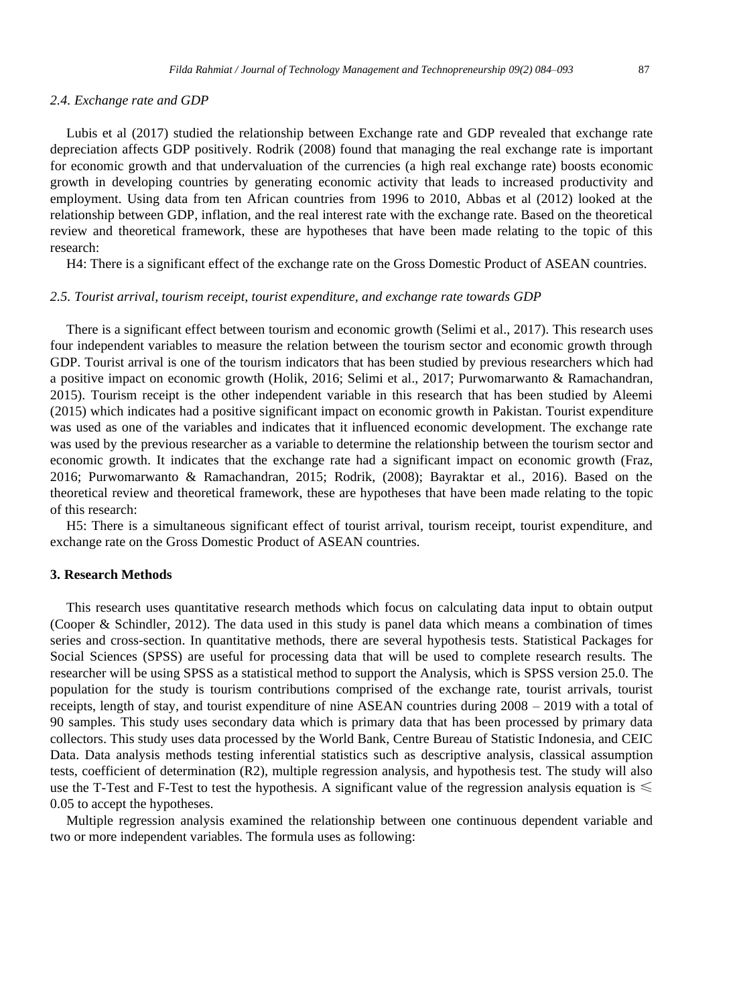#### *2.4. Exchange rate and GDP*

Lubis et al (2017) studied the relationship between Exchange rate and GDP revealed that exchange rate depreciation affects GDP positively. Rodrik (2008) found that managing the real exchange rate is important for economic growth and that undervaluation of the currencies (a high real exchange rate) boosts economic growth in developing countries by generating economic activity that leads to increased productivity and employment. Using data from ten African countries from 1996 to 2010, Abbas et al (2012) looked at the relationship between GDP, inflation, and the real interest rate with the exchange rate. Based on the theoretical review and theoretical framework, these are hypotheses that have been made relating to the topic of this research:

H4: There is a significant effect of the exchange rate on the Gross Domestic Product of ASEAN countries.

#### *2.5. Tourist arrival, tourism receipt, tourist expenditure, and exchange rate towards GDP*

There is a significant effect between tourism and economic growth (Selimi et al., 2017). This research uses four independent variables to measure the relation between the tourism sector and economic growth through GDP. Tourist arrival is one of the tourism indicators that has been studied by previous researchers which had a positive impact on economic growth (Holik, 2016; Selimi et al., 2017; Purwomarwanto & Ramachandran, 2015). Tourism receipt is the other independent variable in this research that has been studied by Aleemi (2015) which indicates had a positive significant impact on economic growth in Pakistan. Tourist expenditure was used as one of the variables and indicates that it influenced economic development. The exchange rate was used by the previous researcher as a variable to determine the relationship between the tourism sector and economic growth. It indicates that the exchange rate had a significant impact on economic growth (Fraz, 2016; Purwomarwanto & Ramachandran, 2015; Rodrik, (2008); Bayraktar et al., 2016). Based on the theoretical review and theoretical framework, these are hypotheses that have been made relating to the topic of this research:

H5: There is a simultaneous significant effect of tourist arrival, tourism receipt, tourist expenditure, and exchange rate on the Gross Domestic Product of ASEAN countries.

#### **3. Research Methods**

This research uses quantitative research methods which focus on calculating data input to obtain output (Cooper & Schindler, 2012). The data used in this study is panel data which means a combination of times series and cross-section. In quantitative methods, there are several hypothesis tests. Statistical Packages for Social Sciences (SPSS) are useful for processing data that will be used to complete research results. The researcher will be using SPSS as a statistical method to support the Analysis, which is SPSS version 25.0. The population for the study is tourism contributions comprised of the exchange rate, tourist arrivals, tourist receipts, length of stay, and tourist expenditure of nine ASEAN countries during 2008 – 2019 with a total of 90 samples. This study uses secondary data which is primary data that has been processed by primary data collectors. This study uses data processed by the World Bank, Centre Bureau of Statistic Indonesia, and CEIC Data. Data analysis methods testing inferential statistics such as descriptive analysis, classical assumption tests, coefficient of determination (R2), multiple regression analysis, and hypothesis test. The study will also use the T-Test and F-Test to test the hypothesis. A significant value of the regression analysis equation is  $\leq$ 0.05 to accept the hypotheses.

Multiple regression analysis examined the relationship between one continuous dependent variable and two or more independent variables. The formula uses as following: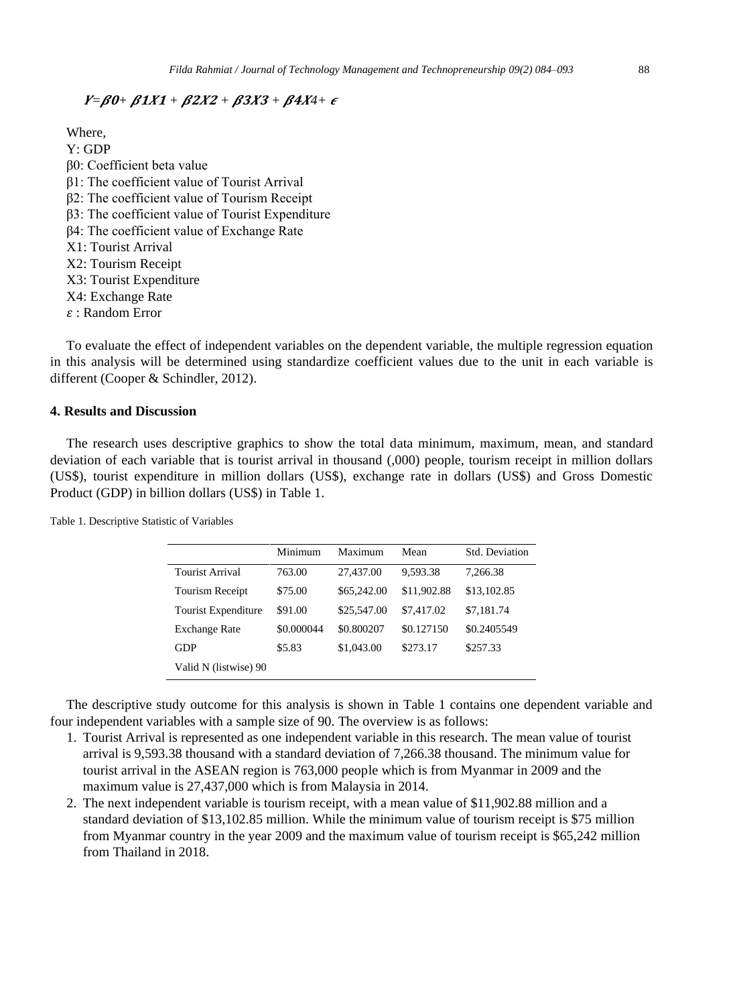# $Y = \beta 0 + \beta 1X1 + \beta 2X2 + \beta 3X3 + \beta 4X4 + \epsilon$

Where, Y: GDP β0: Coefficient beta value β1: The coefficient value of Tourist Arrival

- β2: The coefficient value of Tourism Receipt
- β3: The coefficient value of Tourist Expenditure
- β4: The coefficient value of Exchange Rate
- X1: Tourist Arrival
- X2: Tourism Receipt
- X3: Tourist Expenditure
- X4: Exchange Rate
- : Random Error

To evaluate the effect of independent variables on the dependent variable, the multiple regression equation in this analysis will be determined using standardize coefficient values due to the unit in each variable is different (Cooper & Schindler, 2012).

## **4. Results and Discussion**

The research uses descriptive graphics to show the total data minimum, maximum, mean, and standard deviation of each variable that is tourist arrival in thousand (,000) people, tourism receipt in million dollars (US\$), tourist expenditure in million dollars (US\$), exchange rate in dollars (US\$) and Gross Domestic Product (GDP) in billion dollars (US\$) in Table 1.

Table 1. Descriptive Statistic of Variables

|                        | Minimum    | Maximum     | Mean        | Std. Deviation |
|------------------------|------------|-------------|-------------|----------------|
| Tourist Arrival        | 763.00     | 27,437.00   | 9,593.38    | 7.266.38       |
| <b>Tourism Receipt</b> | \$75.00    | \$65,242.00 | \$11,902.88 | \$13,102.85    |
| Tourist Expenditure    | \$91.00    | \$25,547.00 | \$7,417.02  | \$7,181.74     |
| <b>Exchange Rate</b>   | \$0.000044 | \$0.800207  | \$0.127150  | \$0.2405549    |
| GDP                    | \$5.83     | \$1,043.00  | \$273.17    | \$257.33       |
| Valid N (listwise) 90  |            |             |             |                |

The descriptive study outcome for this analysis is shown in Table 1 contains one dependent variable and four independent variables with a sample size of 90. The overview is as follows:

- 1. Tourist Arrival is represented as one independent variable in this research. The mean value of tourist arrival is 9,593.38 thousand with a standard deviation of 7,266.38 thousand. The minimum value for tourist arrival in the ASEAN region is 763,000 people which is from Myanmar in 2009 and the maximum value is 27,437,000 which is from Malaysia in 2014.
- 2. The next independent variable is tourism receipt, with a mean value of \$11,902.88 million and a standard deviation of \$13,102.85 million. While the minimum value of tourism receipt is \$75 million from Myanmar country in the year 2009 and the maximum value of tourism receipt is \$65,242 million from Thailand in 2018.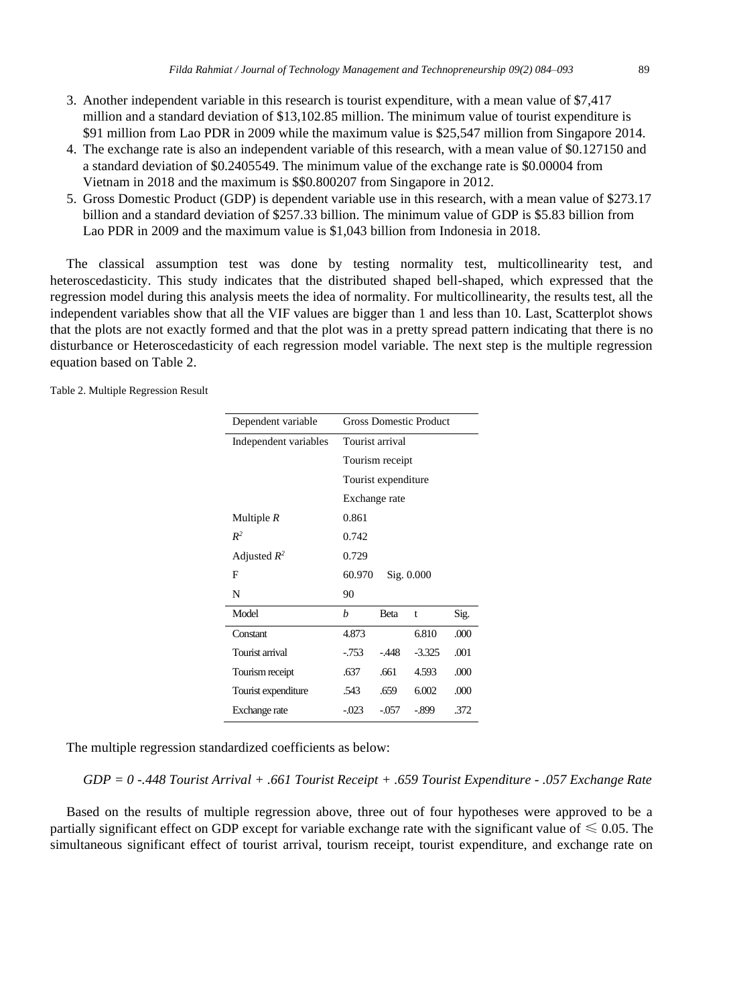- 3. Another independent variable in this research is tourist expenditure, with a mean value of \$7,417 million and a standard deviation of \$13,102.85 million. The minimum value of tourist expenditure is \$91 million from Lao PDR in 2009 while the maximum value is \$25,547 million from Singapore 2014.
- 4. The exchange rate is also an independent variable of this research, with a mean value of \$0.127150 and a standard deviation of \$0.2405549. The minimum value of the exchange rate is \$0.00004 from Vietnam in 2018 and the maximum is \$\$0.800207 from Singapore in 2012.
- 5. Gross Domestic Product (GDP) is dependent variable use in this research, with a mean value of \$273.17 billion and a standard deviation of \$257.33 billion. The minimum value of GDP is \$5.83 billion from Lao PDR in 2009 and the maximum value is \$1,043 billion from Indonesia in 2018.

The classical assumption test was done by testing normality test, multicollinearity test, and heteroscedasticity. This study indicates that the distributed shaped bell-shaped, which expressed that the regression model during this analysis meets the idea of normality. For multicollinearity, the results test, all the independent variables show that all the VIF values are bigger than 1 and less than 10. Last, Scatterplot shows that the plots are not exactly formed and that the plot was in a pretty spread pattern indicating that there is no disturbance or Heteroscedasticity of each regression model variable. The next step is the multiple regression equation based on Table 2.

Table 2. Multiple Regression Result

| Dependent variable    | <b>Gross Domestic Product</b> |         |          |      |  |
|-----------------------|-------------------------------|---------|----------|------|--|
| Independent variables | Tourist arrival               |         |          |      |  |
|                       | Tourism receipt               |         |          |      |  |
|                       | Tourist expenditure           |         |          |      |  |
|                       | Exchange rate                 |         |          |      |  |
| Multiple $R$          | 0.861                         |         |          |      |  |
| $R^2$                 | 0.742                         |         |          |      |  |
| Adjusted $R^2$        | 0.729                         |         |          |      |  |
| F                     | 60.970<br>Sig. 0.000          |         |          |      |  |
| N                     | 90                            |         |          |      |  |
| Model                 | $\boldsymbol{h}$              | Beta    | t        | Sig. |  |
| Constant              | 4.873                         |         | 6.810    | .000 |  |
| Tourist arrival       | $-753$                        | $-448$  | $-3.325$ | .001 |  |
| Tourism receipt       | .637                          | .661    | 4.593    | .000 |  |
| Tourist expenditure   | .543                          | .659    | 6.002    | .000 |  |
| Exchange rate         | $-023$                        | $-.057$ | $-0.899$ | .372 |  |

The multiple regression standardized coefficients as below:

*GDP = 0 -.448 Tourist Arrival + .661 Tourist Receipt + .659 Tourist Expenditure - .057 Exchange Rate*

Based on the results of multiple regression above, three out of four hypotheses were approved to be a partially significant effect on GDP except for variable exchange rate with the significant value of  $\leq 0.05$ . The simultaneous significant effect of tourist arrival, tourism receipt, tourist expenditure, and exchange rate on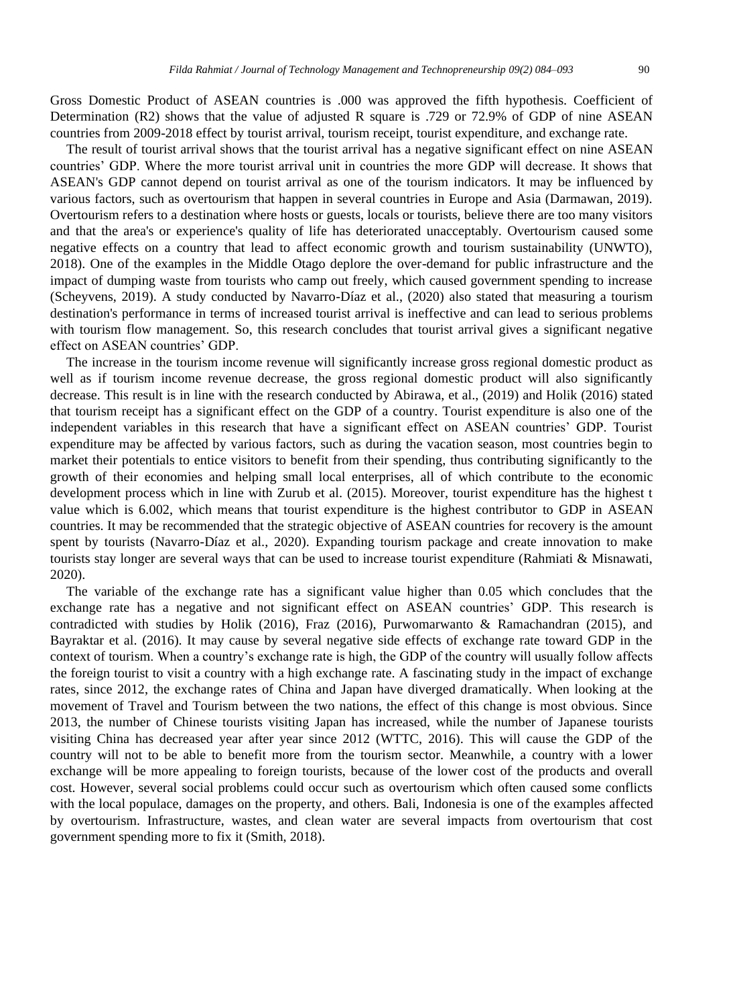Gross Domestic Product of ASEAN countries is .000 was approved the fifth hypothesis. Coefficient of Determination (R2) shows that the value of adjusted R square is .729 or 72.9% of GDP of nine ASEAN countries from 2009-2018 effect by tourist arrival, tourism receipt, tourist expenditure, and exchange rate.

The result of tourist arrival shows that the tourist arrival has a negative significant effect on nine ASEAN countries' GDP. Where the more tourist arrival unit in countries the more GDP will decrease. It shows that ASEAN's GDP cannot depend on tourist arrival as one of the tourism indicators. It may be influenced by various factors, such as overtourism that happen in several countries in Europe and Asia (Darmawan, 2019). Overtourism refers to a destination where hosts or guests, locals or tourists, believe there are too many visitors and that the area's or experience's quality of life has deteriorated unacceptably. Overtourism caused some negative effects on a country that lead to affect economic growth and tourism sustainability (UNWTO), 2018). One of the examples in the Middle Otago deplore the over-demand for public infrastructure and the impact of dumping waste from tourists who camp out freely, which caused government spending to increase (Scheyvens, 2019). A study conducted by Navarro-Díaz et al., (2020) also stated that measuring a tourism destination's performance in terms of increased tourist arrival is ineffective and can lead to serious problems with tourism flow management. So, this research concludes that tourist arrival gives a significant negative effect on ASEAN countries' GDP.

The increase in the tourism income revenue will significantly increase gross regional domestic product as well as if tourism income revenue decrease, the gross regional domestic product will also significantly decrease. This result is in line with the research conducted by Abirawa, et al., (2019) and Holik (2016) stated that tourism receipt has a significant effect on the GDP of a country. Tourist expenditure is also one of the independent variables in this research that have a significant effect on ASEAN countries' GDP. Tourist expenditure may be affected by various factors, such as during the vacation season, most countries begin to market their potentials to entice visitors to benefit from their spending, thus contributing significantly to the growth of their economies and helping small local enterprises, all of which contribute to the economic development process which in line with Zurub et al. (2015). Moreover, tourist expenditure has the highest t value which is 6.002, which means that tourist expenditure is the highest contributor to GDP in ASEAN countries. It may be recommended that the strategic objective of ASEAN countries for recovery is the amount spent by tourists (Navarro-Díaz et al., 2020). Expanding tourism package and create innovation to make tourists stay longer are several ways that can be used to increase tourist expenditure (Rahmiati & Misnawati, 2020).

The variable of the exchange rate has a significant value higher than 0.05 which concludes that the exchange rate has a negative and not significant effect on ASEAN countries' GDP. This research is contradicted with studies by Holik (2016), Fraz (2016), Purwomarwanto & Ramachandran (2015), and Bayraktar et al. (2016). It may cause by several negative side effects of exchange rate toward GDP in the context of tourism. When a country's exchange rate is high, the GDP of the country will usually follow affects the foreign tourist to visit a country with a high exchange rate. A fascinating study in the impact of exchange rates, since 2012, the exchange rates of China and Japan have diverged dramatically. When looking at the movement of Travel and Tourism between the two nations, the effect of this change is most obvious. Since 2013, the number of Chinese tourists visiting Japan has increased, while the number of Japanese tourists visiting China has decreased year after year since 2012 (WTTC, 2016). This will cause the GDP of the country will not to be able to benefit more from the tourism sector. Meanwhile, a country with a lower exchange will be more appealing to foreign tourists, because of the lower cost of the products and overall cost. However, several social problems could occur such as overtourism which often caused some conflicts with the local populace, damages on the property, and others. Bali, Indonesia is one of the examples affected by overtourism. Infrastructure, wastes, and clean water are several impacts from overtourism that cost government spending more to fix it (Smith, 2018).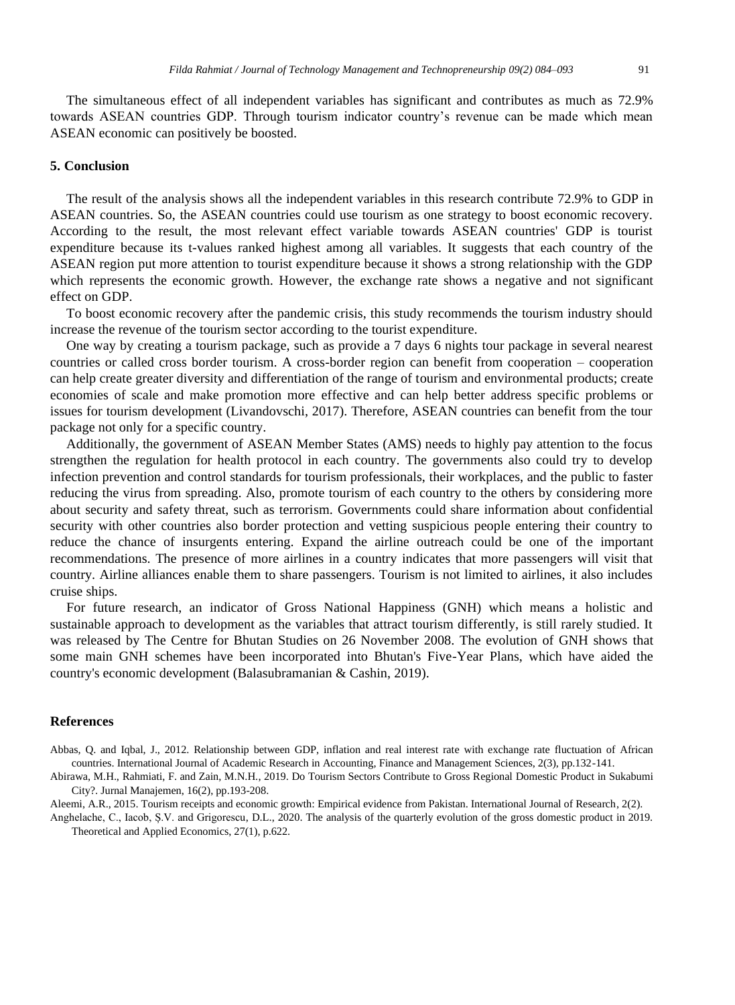The simultaneous effect of all independent variables has significant and contributes as much as 72.9% towards ASEAN countries GDP. Through tourism indicator country's revenue can be made which mean ASEAN economic can positively be boosted.

#### **5. Conclusion**

The result of the analysis shows all the independent variables in this research contribute 72.9% to GDP in ASEAN countries. So, the ASEAN countries could use tourism as one strategy to boost economic recovery. According to the result, the most relevant effect variable towards ASEAN countries' GDP is tourist expenditure because its t-values ranked highest among all variables. It suggests that each country of the ASEAN region put more attention to tourist expenditure because it shows a strong relationship with the GDP which represents the economic growth. However, the exchange rate shows a negative and not significant effect on GDP.

To boost economic recovery after the pandemic crisis, this study recommends the tourism industry should increase the revenue of the tourism sector according to the tourist expenditure.

One way by creating a tourism package, such as provide a 7 days 6 nights tour package in several nearest countries or called cross border tourism. A cross-border region can benefit from cooperation – cooperation can help create greater diversity and differentiation of the range of tourism and environmental products; create economies of scale and make promotion more effective and can help better address specific problems or issues for tourism development (Livandovschi, 2017). Therefore, ASEAN countries can benefit from the tour package not only for a specific country.

Additionally, the government of ASEAN Member States (AMS) needs to highly pay attention to the focus strengthen the regulation for health protocol in each country. The governments also could try to develop infection prevention and control standards for tourism professionals, their workplaces, and the public to faster reducing the virus from spreading. Also, promote tourism of each country to the others by considering more about security and safety threat, such as terrorism. Governments could share information about confidential security with other countries also border protection and vetting suspicious people entering their country to reduce the chance of insurgents entering. Expand the airline outreach could be one of the important recommendations. The presence of more airlines in a country indicates that more passengers will visit that country. Airline alliances enable them to share passengers. Tourism is not limited to airlines, it also includes cruise ships.

For future research, an indicator of Gross National Happiness (GNH) which means a holistic and sustainable approach to development as the variables that attract tourism differently, is still rarely studied. It was released by The Centre for Bhutan Studies on 26 November 2008. The evolution of GNH shows that some main GNH schemes have been incorporated into Bhutan's Five-Year Plans, which have aided the country's economic development (Balasubramanian & Cashin, 2019).

### **References**

Abbas, Q. and Iqbal, J., 2012. Relationship between GDP, inflation and real interest rate with exchange rate fluctuation of African countries. International Journal of Academic Research in Accounting, Finance and Management Sciences, 2(3), pp.132-141.

Abirawa, M.H., Rahmiati, F. and Zain, M.N.H., 2019. Do Tourism Sectors Contribute to Gross Regional Domestic Product in Sukabumi City?. Jurnal Manajemen, 16(2), pp.193-208.

Aleemi, A.R., 2015. Tourism receipts and economic growth: Empirical evidence from Pakistan. International Journal of Research, 2(2).

Anghelache, C., Iacob, Ș.V. and Grigorescu, D.L., 2020. The analysis of the quarterly evolution of the gross domestic product in 2019. Theoretical and Applied Economics, 27(1), p.622.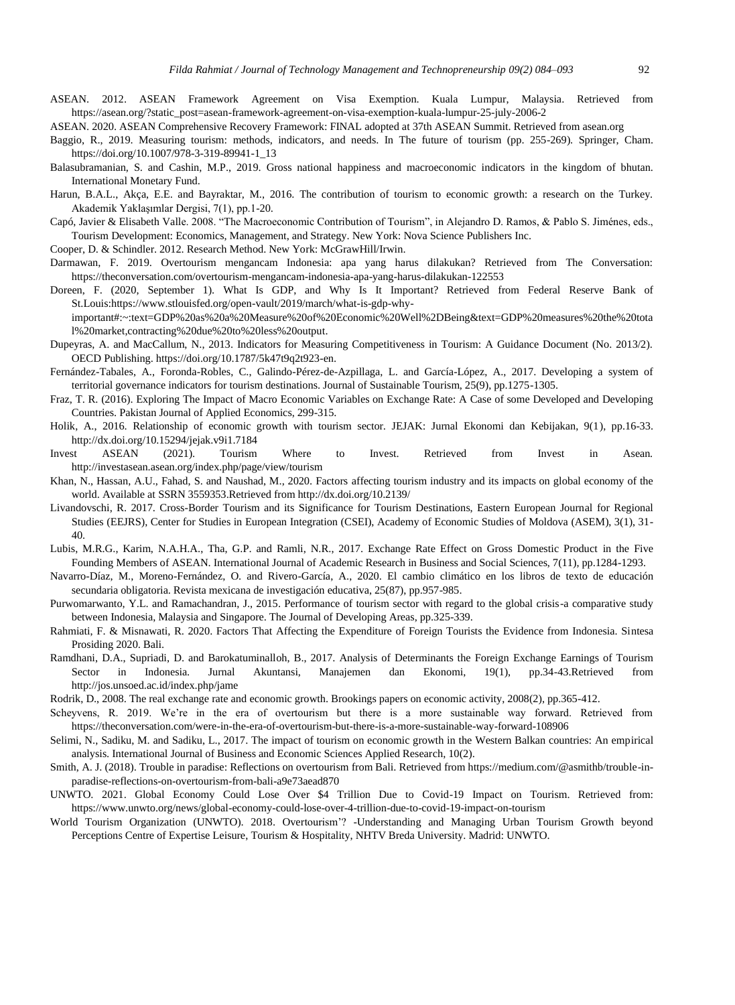- ASEAN. 2012. ASEAN Framework Agreement on Visa Exemption. Kuala Lumpur, Malaysia. Retrieved from https://asean.org/?static\_post=asean-framework-agreement-on-visa-exemption-kuala-lumpur-25-july-2006-2
- ASEAN. 2020. ASEAN Comprehensive Recovery Framework: FINAL adopted at 37th ASEAN Summit. Retrieved from asean.org
- Baggio, R., 2019. Measuring tourism: methods, indicators, and needs. In The future of tourism (pp. 255-269). Springer, Cham. https://doi.org/10.1007/978-3-319-89941-1\_13
- Balasubramanian, S. and Cashin, M.P., 2019. Gross national happiness and macroeconomic indicators in the kingdom of bhutan. International Monetary Fund.
- Harun, B.A.L., Akça, E.E. and Bayraktar, M., 2016. The contribution of tourism to economic growth: a research on the Turkey. Akademik Yaklaşımlar Dergisi, 7(1), pp.1-20.
- Capó, Javier & Elisabeth Valle. 2008. "The Macroeconomic Contribution of Tourism", in Alejandro D. Ramos, & Pablo S. Jiménes, eds., Tourism Development: Economics, Management, and Strategy. New York: Nova Science Publishers Inc.

Cooper, D. & Schindler. 2012. Research Method. New York: McGrawHill/Irwin.

- Darmawan, F. 2019. Overtourism mengancam Indonesia: apa yang harus dilakukan? Retrieved from The Conversation: https://theconversation.com/overtourism-mengancam-indonesia-apa-yang-harus-dilakukan-122553
- Doreen, F. (2020, September 1). What Is GDP, and Why Is It Important? Retrieved from Federal Reserve Bank of St.Louis:https://www.stlouisfed.org/open-vault/2019/march/what-is-gdp-why
	- important#:~:text=GDP%20as%20a%20Measure%20of%20Economic%20Well%2DBeing&text=GDP%20measures%20the%20tota l%20market,contracting%20due%20to%20less%20output.
- Dupeyras, A. and MacCallum, N., 2013. Indicators for Measuring Competitiveness in Tourism: A Guidance Document (No. 2013/2). OECD Publishing. https://doi.org/10.1787/5k47t9q2t923-en.
- Fernández-Tabales, A., Foronda-Robles, C., Galindo-Pérez-de-Azpillaga, L. and García-López, A., 2017. Developing a system of territorial governance indicators for tourism destinations. Journal of Sustainable Tourism, 25(9), pp.1275-1305.
- Fraz, T. R. (2016). Exploring The Impact of Macro Economic Variables on Exchange Rate: A Case of some Developed and Developing Countries. Pakistan Journal of Applied Economics, 299-315.
- Holik, A., 2016. Relationship of economic growth with tourism sector. JEJAK: Jurnal Ekonomi dan Kebijakan, 9(1), pp.16-33. http://dx.doi.org/10.15294/jejak.v9i1.7184
- Invest ASEAN (2021). Tourism Where to Invest. Retrieved from Invest in Asean. http://investasean.asean.org/index.php/page/view/tourism
- Khan, N., Hassan, A.U., Fahad, S. and Naushad, M., 2020. Factors affecting tourism industry and its impacts on global economy of the world. Available at SSRN 3559353.Retrieved from http://dx.doi.org/10.2139/
- Livandovschi, R. 2017. Cross-Border Tourism and its Significance for Tourism Destinations, Eastern European Journal for Regional Studies (EEJRS), Center for Studies in European Integration (CSEI), Academy of Economic Studies of Moldova (ASEM), 3(1), 31- 40.
- Lubis, M.R.G., Karim, N.A.H.A., Tha, G.P. and Ramli, N.R., 2017. Exchange Rate Effect on Gross Domestic Product in the Five Founding Members of ASEAN. International Journal of Academic Research in Business and Social Sciences, 7(11), pp.1284-1293.
- Navarro-Díaz, M., Moreno-Fernández, O. and Rivero-García, A., 2020. El cambio climático en los libros de texto de educación secundaria obligatoria. Revista mexicana de investigación educativa, 25(87), pp.957-985.
- Purwomarwanto, Y.L. and Ramachandran, J., 2015. Performance of tourism sector with regard to the global crisis-a comparative study between Indonesia, Malaysia and Singapore. The Journal of Developing Areas, pp.325-339.
- Rahmiati, F. & Misnawati, R. 2020. Factors That Affecting the Expenditure of Foreign Tourists the Evidence from Indonesia. Sintesa Prosiding 2020. Bali.
- Ramdhani, D.A., Supriadi, D. and Barokatuminalloh, B., 2017. Analysis of Determinants the Foreign Exchange Earnings of Tourism Sector in Indonesia. Jurnal Akuntansi, Manajemen dan Ekonomi, 19(1), pp.34-43.Retrieved from http://jos.unsoed.ac.id/index.php/jame
- Rodrik, D., 2008. The real exchange rate and economic growth. Brookings papers on economic activity, 2008(2), pp.365-412.
- Scheyvens, R. 2019. We're in the era of overtourism but there is a more sustainable way forward. Retrieved from https://theconversation.com/were-in-the-era-of-overtourism-but-there-is-a-more-sustainable-way-forward-108906
- Selimi, N., Sadiku, M. and Sadiku, L., 2017. The impact of tourism on economic growth in the Western Balkan countries: An empirical analysis. International Journal of Business and Economic Sciences Applied Research, 10(2).
- Smith, A. J. (2018). Trouble in paradise: Reflections on overtourism from Bali. Retrieved from https://medium.com/@asmithb/trouble-inparadise-reflections-on-overtourism-from-bali-a9e73aead870
- UNWTO. 2021. Global Economy Could Lose Over \$4 Trillion Due to Covid-19 Impact on Tourism. Retrieved from: https://www.unwto.org/news/global-economy-could-lose-over-4-trillion-due-to-covid-19-impact-on-tourism
- World Tourism Organization (UNWTO). 2018. Overtourism'? -Understanding and Managing Urban Tourism Growth beyond Perceptions Centre of Expertise Leisure, Tourism & Hospitality, NHTV Breda University. Madrid: UNWTO.